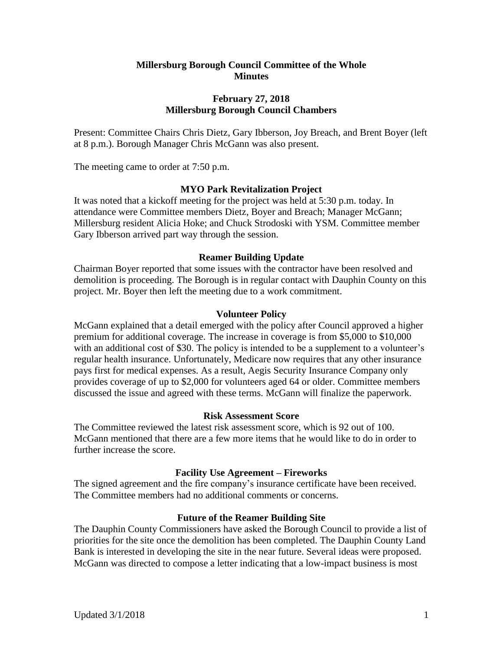# **Millersburg Borough Council Committee of the Whole Minutes**

# **February 27, 2018 Millersburg Borough Council Chambers**

Present: Committee Chairs Chris Dietz, Gary Ibberson, Joy Breach, and Brent Boyer (left at 8 p.m.). Borough Manager Chris McGann was also present.

The meeting came to order at 7:50 p.m.

## **MYO Park Revitalization Project**

It was noted that a kickoff meeting for the project was held at 5:30 p.m. today. In attendance were Committee members Dietz, Boyer and Breach; Manager McGann; Millersburg resident Alicia Hoke; and Chuck Strodoski with YSM. Committee member Gary Ibberson arrived part way through the session.

### **Reamer Building Update**

Chairman Boyer reported that some issues with the contractor have been resolved and demolition is proceeding. The Borough is in regular contact with Dauphin County on this project. Mr. Boyer then left the meeting due to a work commitment.

#### **Volunteer Policy**

McGann explained that a detail emerged with the policy after Council approved a higher premium for additional coverage. The increase in coverage is from \$5,000 to \$10,000 with an additional cost of \$30. The policy is intended to be a supplement to a volunteer's regular health insurance. Unfortunately, Medicare now requires that any other insurance pays first for medical expenses. As a result, Aegis Security Insurance Company only provides coverage of up to \$2,000 for volunteers aged 64 or older. Committee members discussed the issue and agreed with these terms. McGann will finalize the paperwork.

#### **Risk Assessment Score**

The Committee reviewed the latest risk assessment score, which is 92 out of 100. McGann mentioned that there are a few more items that he would like to do in order to further increase the score.

#### **Facility Use Agreement – Fireworks**

The signed agreement and the fire company's insurance certificate have been received. The Committee members had no additional comments or concerns.

## **Future of the Reamer Building Site**

The Dauphin County Commissioners have asked the Borough Council to provide a list of priorities for the site once the demolition has been completed. The Dauphin County Land Bank is interested in developing the site in the near future. Several ideas were proposed. McGann was directed to compose a letter indicating that a low-impact business is most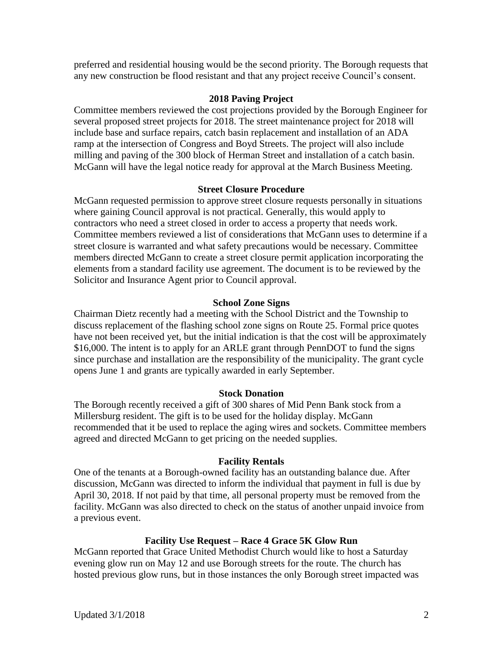preferred and residential housing would be the second priority. The Borough requests that any new construction be flood resistant and that any project receive Council's consent.

## **2018 Paving Project**

Committee members reviewed the cost projections provided by the Borough Engineer for several proposed street projects for 2018. The street maintenance project for 2018 will include base and surface repairs, catch basin replacement and installation of an ADA ramp at the intersection of Congress and Boyd Streets. The project will also include milling and paving of the 300 block of Herman Street and installation of a catch basin. McGann will have the legal notice ready for approval at the March Business Meeting.

## **Street Closure Procedure**

McGann requested permission to approve street closure requests personally in situations where gaining Council approval is not practical. Generally, this would apply to contractors who need a street closed in order to access a property that needs work. Committee members reviewed a list of considerations that McGann uses to determine if a street closure is warranted and what safety precautions would be necessary. Committee members directed McGann to create a street closure permit application incorporating the elements from a standard facility use agreement. The document is to be reviewed by the Solicitor and Insurance Agent prior to Council approval.

# **School Zone Signs**

Chairman Dietz recently had a meeting with the School District and the Township to discuss replacement of the flashing school zone signs on Route 25. Formal price quotes have not been received yet, but the initial indication is that the cost will be approximately \$16,000. The intent is to apply for an ARLE grant through PennDOT to fund the signs since purchase and installation are the responsibility of the municipality. The grant cycle opens June 1 and grants are typically awarded in early September.

## **Stock Donation**

The Borough recently received a gift of 300 shares of Mid Penn Bank stock from a Millersburg resident. The gift is to be used for the holiday display. McGann recommended that it be used to replace the aging wires and sockets. Committee members agreed and directed McGann to get pricing on the needed supplies.

## **Facility Rentals**

One of the tenants at a Borough-owned facility has an outstanding balance due. After discussion, McGann was directed to inform the individual that payment in full is due by April 30, 2018. If not paid by that time, all personal property must be removed from the facility. McGann was also directed to check on the status of another unpaid invoice from a previous event.

## **Facility Use Request – Race 4 Grace 5K Glow Run**

McGann reported that Grace United Methodist Church would like to host a Saturday evening glow run on May 12 and use Borough streets for the route. The church has hosted previous glow runs, but in those instances the only Borough street impacted was